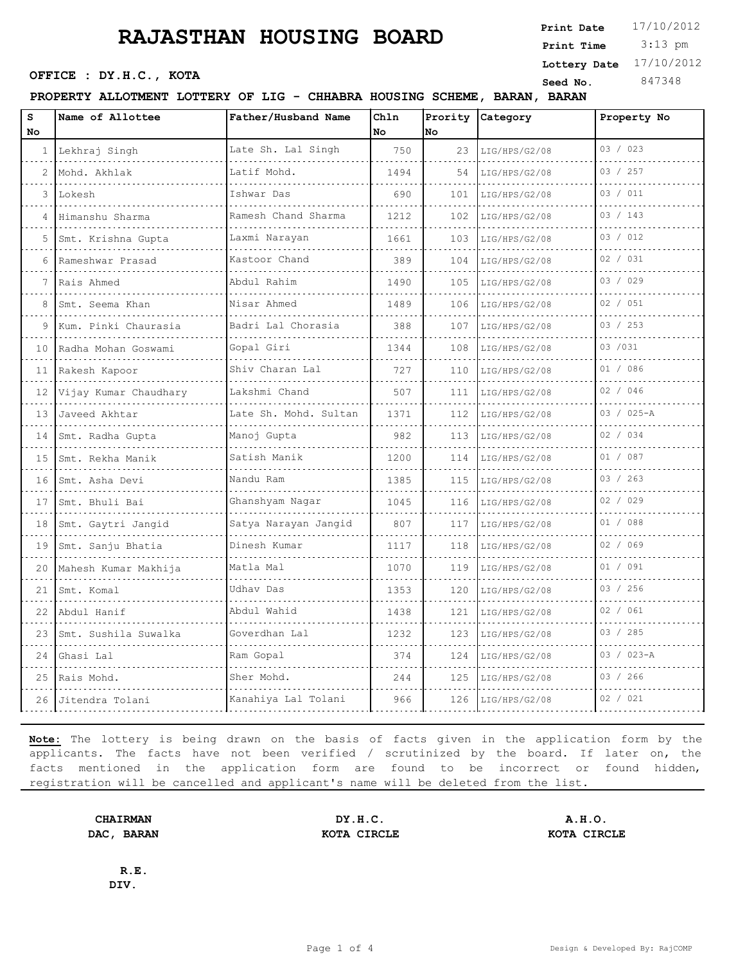## **RAJASTHAN HOUSING BOARD**

 3:13 pm **Print Date**  $17/10/2012$ **Print Time SEED SEED SEED SEED SEED NO.** 847348 **Lottery Date** 17/10/2012

### **PROPERTY ALLOTMENT LOTTERY OF LIG - CHHABRA HOUSING SCHEME, BARAN, BARAN**

| s<br><b>No</b>  | Name of Allottee                       | Father/Husband Name   | Chln<br><b>No</b> | Prority<br><b>No</b> | Category           | Property No    |
|-----------------|----------------------------------------|-----------------------|-------------------|----------------------|--------------------|----------------|
|                 | 1 Lekhraj Singh<br>.                   | Late Sh. Lal Singh    | 750               | 23                   | LIG/HPS/G2/08      | 03 / 023       |
| 2               | Mohd. Akhlak                           | Latif Mohd.           | 1494              | 54                   | .<br>LIG/HPS/G2/08 | 03 / 257       |
| 3               | Lokesh                                 | Ishwar Das            | 690               | 101                  | LIG/HPS/G2/08      | 03 / 011       |
| 4               | Himanshu Sharma<br>.                   | Ramesh Chand Sharma   | 1212              | 102                  | LIG/HPS/G2/08      | 03 / 143       |
| 5               | Smt. Krishna Gupta                     | Laxmi Narayan         | 1661              | 103                  | LIG/HPS/G2/08      | 03 / 012       |
| 6               | Rameshwar Prasad                       | Kastoor Chand         | 389               | 104                  | LIG/HPS/G2/08      | 02 / 031       |
| 7               | Rais Ahmed                             | Abdul Rahim<br>.      | 1490              | 105                  | LIG/HPS/G2/08      | 03 / 029       |
| 8               | Smt. Seema Khan                        | Nisar Ahmed           | 1489              | 106                  | LIG/HPS/G2/08      | 02 / 051       |
| 9               | Kum. Pinki Chaurasia                   | Badri Lal Chorasia    | 388               | 107                  | LIG/HPS/G2/08      | 03 / 253       |
| 10              | Radha Mohan Goswami                    | Gopal Giri            | 1344              | 108                  | LIG/HPS/G2/08      | 03 / 031       |
|                 | 11 Rakesh Kapoor                       | Shiv Charan Lal       | 727               | 110                  | LIG/HPS/G2/08      | 01 / 086       |
| 12              | Vijay Kumar Chaudhary                  | Lakshmi Chand         | 507               | 111                  | LIG/HPS/G2/08      | 02 / 046       |
| 13 <sup>1</sup> | Javeed Akhtar<br>.                     | Late Sh. Mohd. Sultan | 1371              | 112                  | LIG/HPS/G2/08      | 03 / 025-A     |
| 14 I            | Smt. Radha Gupta                       | Manoj Gupta           | 982               | 113                  | LIG/HPS/G2/08      | 02 / 034       |
| 15              | Smt. Rekha Manik                       | Satish Manik          | 1200              | 114                  | LIG/HPS/G2/08      | 01 / 087       |
| 16 I            | Smt. Asha Devi<br>.                    | Nandu Ram<br>.        | 1385              | 115                  | LIG/HPS/G2/08      | 03 / 263       |
| 17 <sub>1</sub> | Smt. Bhuli Bai                         | Ghanshyam Nagar       | 1045              | 116                  | LIG/HPS/G2/08      | 02 / 029       |
| 18              | Smt. Gaytri Jangid                     | Satya Narayan Jangid  | 807               | 117                  | LIG/HPS/G2/08      | 01 / 088       |
| 19 I            | Smt. Sanju Bhatia                      | Dinesh Kumar          | 1117              | 118                  | LIG/HPS/G2/08      | 02 / 069       |
| 20              | Mahesh Kumar Makhija                   | Matla Mal             | 1070              | 119                  | LIG/HPS/G2/08      | 01 / 091       |
| 21              | Smt. Komal<br>and a strategic control. | Udhay Das             | 1353              | 120                  | LIG/HPS/G2/08      | 03 / 256       |
|                 | 22 Abdul Hanif                         | Abdul Wahid           | 1438              | 121                  | LIG/HPS/G2/08      | 02 / 061       |
| 23              | Smt. Sushila Suwalka                   | Goverdhan Lal         | 1232              | 123                  | LIG/HPS/G2/08      | 03 / 285       |
| 24              | Ghasi Lal                              | Ram Gopal             | 374               | 124                  | LIG/HPS/G2/08      | $03 / 023 - A$ |
|                 | 25 Rais Mohd.                          | Sher Mohd.            | 244               | 125                  | LIG/HPS/G2/08      | 03 / 266       |
|                 | 26 Jitendra Tolani                     | Kanahiya Lal Tolani   | 966               | 126                  | LIG/HPS/G2/08      | 02 / 021       |

**Note:** The lottery is being drawn on the basis of facts given in the application form by the applicants. The facts have not been verified / scrutinized by the board. If later on, the facts mentioned in the application form are found to be incorrect or found hidden, registration will be cancelled and applicant's name will be deleted from the list.

**DIV.**

**R.E.**

**CHAIRMAN DY.H.C. A.H.O. DAC, BARAN KOTA CIRCLE KOTA CIRCLE**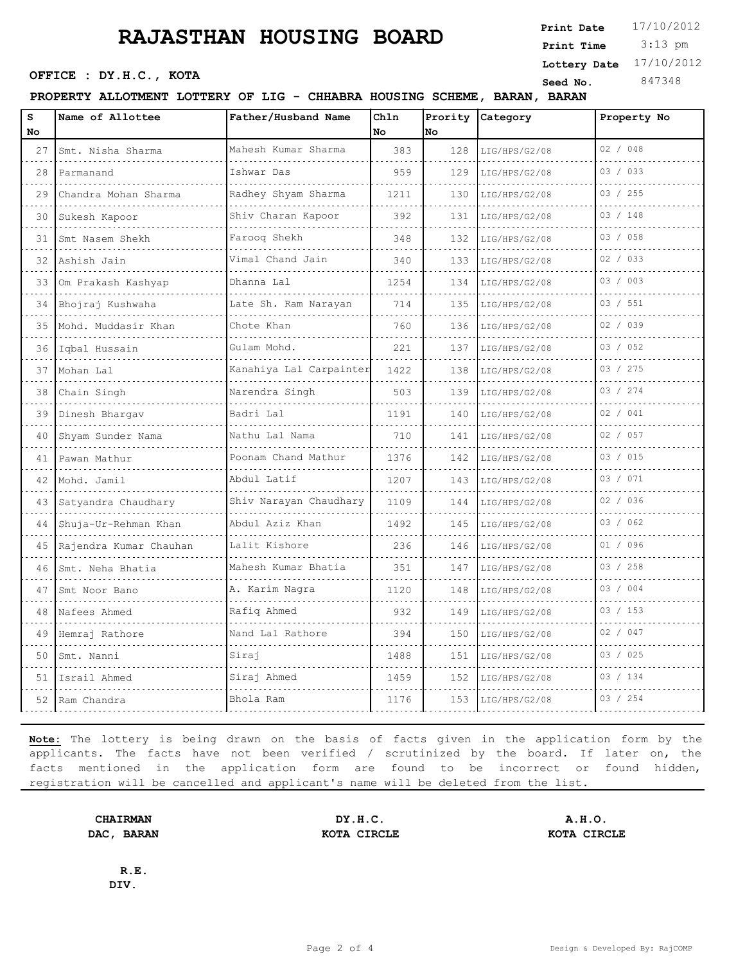## **RAJASTHAN HOUSING BOARD**

### **PROPERTY ALLOTMENT LOTTERY OF LIG - CHHABRA HOUSING SCHEME, BARAN, BARAN**

| s<br>No | Name of Allottee       | Father/Husband Name      | Chln<br>No | Prority<br>No | Category      | Property No |
|---------|------------------------|--------------------------|------------|---------------|---------------|-------------|
| 27      | Smt. Nisha Sharma      | Mahesh Kumar Sharma      | 383        | 128           | LIG/HPS/G2/08 | 02 / 048    |
| 28      | Parmanand              | Ishwar Das               | 959        | 129           | LIG/HPS/G2/08 | 03 / 033    |
| 29      | Chandra Mohan Sharma   | Radhey Shyam Sharma      | 1211       | 130           | LIG/HPS/G2/08 | 03 / 255    |
| 30      | Sukesh Kapoor          | .<br>Shiv Charan Kapoor  | 392        | 131           | LIG/HPS/G2/08 | 03 / 148    |
| 31      | Smt Nasem Shekh        | Farooq Shekh             | 348        | 132           | LIG/HPS/G2/08 | 03 / 058    |
| 32      | Ashish Jain            | Vimal Chand Jain         | 340        | 133           | LIG/HPS/G2/08 | 02 / 033    |
| 33      | Om Prakash Kashyap     | Dhanna Lal               | 1254       | 134           | LIG/HPS/G2/08 | 03 / 003    |
|         | 34 Bhojraj Kushwaha    | Late Sh. Ram Narayan     | 714        | 135           | LIG/HPS/G2/08 | 03 / 551    |
| 35.     | Mohd. Muddasir Khan    | Chote Khan               | 760        | 136           | LIG/HPS/G2/08 | 02 / 039    |
| 36      | Iqbal Hussain          | Gulam Mohd.              | 221        | 137           | LIG/HPS/G2/08 | 03 / 052    |
| 37      | Mohan Lal              | Kanahiya Lal Carpainter  | 1422       | 138           | LIG/HPS/G2/08 | 03 / 275    |
| 38      | Chain Singh            | Narendra Singh           | 503        | 139           | LIG/HPS/G2/08 | 03 / 274    |
| 39      | Dinesh Bhargav         | Badri Lal                | 1191       | 140           | LIG/HPS/G2/08 | 02 / 041    |
| 40      | Shyam Sunder Nama      | Nathu Lal Nama           | 710        | 141           | LIG/HPS/G2/08 | 02 / 057    |
| 41      | Pawan Mathur           | Poonam Chand Mathur<br>. | 1376       | 142           | LIG/HPS/G2/08 | 03 / 015    |
| 42.     | Mohd. Jamil            | Abdul Latif              | 1207       | 143           | LIG/HPS/G2/08 | 03 / 071    |
| 43      | Satyandra Chaudhary    | Shiv Narayan Chaudhary   | 1109       | 144           | LIG/HPS/G2/08 | 02 / 036    |
| 44      | Shuja-Ur-Rehman Khan   | Abdul Aziz Khan<br>.     | 1492       | 145           | LIG/HPS/G2/08 | 03 / 062    |
| 45      | Rajendra Kumar Chauhan | Lalit Kishore            | 236        | 146           | LIG/HPS/G2/08 | 01 / 096    |
| 46      | Smt. Neha Bhatia       | Mahesh Kumar Bhatia      | 351        | 147           | LIG/HPS/G2/08 | 03 / 258    |
| 47      | Smt Noor Bano          | A. Karim Nagra           | 1120       | 148           | LIG/HPS/G2/08 | 03 / 004    |
| 48      | Nafees Ahmed           | Rafiq Ahmed              | 932        | 149           | LIG/HPS/G2/08 | 03 / 153    |
| 49      | Hemraj Rathore         | Nand Lal Rathore         | 394        | 150           | LIG/HPS/G2/08 | 02 / 047    |
| 50      | Smt. Nanni             | Siraj                    | 1488       | 151           | LIG/HPS/G2/08 | 03 / 025    |
| 51      | Israil Ahmed           | Siraj Ahmed              | 1459       | 152           | LIG/HPS/G2/08 | 03 / 134    |
|         | 52 Ram Chandra         | Bhola Ram                | 1176       | 153           | LIG/HPS/G2/08 | 03 / 254    |

**Note:** The lottery is being drawn on the basis of facts given in the application form by the applicants. The facts have not been verified / scrutinized by the board. If later on, the facts mentioned in the application form are found to be incorrect or found hidden, registration will be cancelled and applicant's name will be deleted from the list.

**CHAIRMAN DY.H.C. A.H.O. DAC, BARAN KOTA CIRCLE KOTA CIRCLE**

**R.E. DIV.**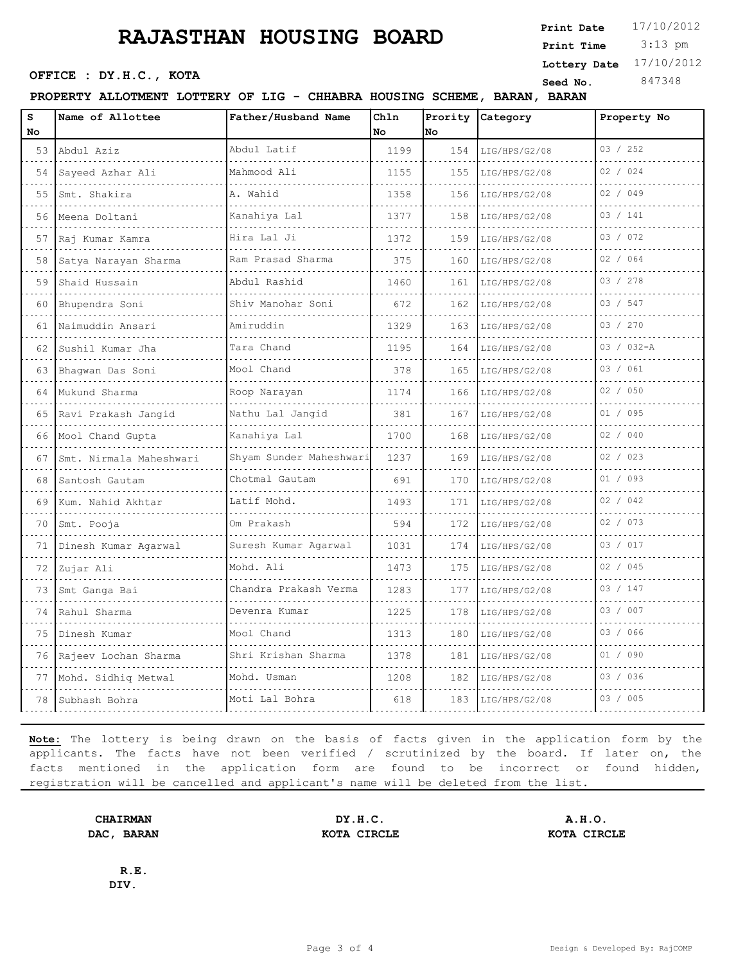## **RAJASTHAN HOUSING BOARD**

 3:13 pm **Print Date**  $17/10/2012$ **Print Time SEED SEED SEED SEED SEED NO.** 847348 **Lottery Date** 17/10/2012

#### **PROPERTY ALLOTMENT LOTTERY OF LIG - CHHABRA HOUSING SCHEME, BARAN, BARAN**

| s  | Name of Allottee        | Father/Husband Name        | Chln | Prority | Category      | Property No |
|----|-------------------------|----------------------------|------|---------|---------------|-------------|
| No |                         |                            | No   | No      |               | 03 / 252    |
|    | 53 Abdul Aziz           | Abdul Latif                | 1199 | 154     | LIG/HPS/G2/08 |             |
| 54 | Sayeed Azhar Ali        | Mahmood Ali                | 1155 | 155     | LIG/HPS/G2/08 | 02 / 024    |
| 55 | Smt. Shakira            | A. Wahid                   | 1358 | 156     | LIG/HPS/G2/08 | 02 / 049    |
| 56 | Meena Doltani           | Kanahiya Lal<br>.          | 1377 | 158     | LIG/HPS/G2/08 | 03 / 141    |
| 57 | Raj Kumar Kamra         | Hira Lal Ji<br>.           | 1372 | 159     | LIG/HPS/G2/08 | 03 / 072    |
| 58 | Satya Narayan Sharma    | Ram Prasad Sharma<br>.     | 375  | 160     | LIG/HPS/G2/08 | 02 / 064    |
| 59 | Shaid Hussain           | Abdul Rashid<br>.          | 1460 | 161     | LIG/HPS/G2/08 | 03 / 278    |
| 60 | Bhupendra Soni          | Shiv Manohar Soni          | 672  | 162     | LIG/HPS/G2/08 | 03 / 547    |
| 61 | Naimuddin Ansari        | Amiruddin                  | 1329 | 163     | LIG/HPS/G2/08 | 03 / 270    |
| 62 | Sushil Kumar Jha        | Tara Chand<br>.            | 1195 | 164     | LIG/HPS/G2/08 | 03 / 032-A  |
| 63 | Bhaqwan Das Soni        | Mool Chand                 | 378  | 165     | LIG/HPS/G2/08 | 03 / 061    |
| 64 | Mukund Sharma           | Roop Narayan               | 1174 | 166     | LIG/HPS/G2/08 | 02 / 050    |
|    | 65 Ravi Prakash Jangid  | Nathu Lal Jangid<br>.      | 381  | 167     | LIG/HPS/G2/08 | 01 / 095    |
| 66 | Mool Chand Gupta        | Kanahiya Lal               | 1700 | 168     | LIG/HPS/G2/08 | 02 / 040    |
| 67 | Smt. Nirmala Maheshwari | Shyam Sunder Maheshwari    | 1237 | 169     | LIG/HPS/G2/08 | 02 / 023    |
| 68 | Santosh Gautam<br>.     | Chotmal Gautam<br>.        | 691  | 170     | LIG/HPS/G2/08 | 01 / 093    |
| 69 | Kum. Nahid Akhtar       | Latif Mohd.                | 1493 | 171     | LIG/HPS/G2/08 | 02 / 042    |
| 70 | Smt. Pooja              | Om Prakash                 | 594  | 172     | LIG/HPS/G2/08 | 02 / 073    |
| 71 | Dinesh Kumar Agarwal    | Suresh Kumar Agarwal       | 1031 | 174     | LIG/HPS/G2/08 | 03 / 017    |
| 72 | Zujar Ali               | Mohd. Ali                  | 1473 | 175     | LIG/HPS/G2/08 | 02 / 045    |
| 73 | Smt Ganga Bai<br>.      | Chandra Prakash Verma<br>. | 1283 | 177     | LIG/HPS/G2/08 | 03 / 147    |
|    | 74 Rahul Sharma         | Devenra Kumar              | 1225 | 178     | LIG/HPS/G2/08 | 03 / 007    |
| 75 | Dinesh Kumar            | Mool Chand                 | 1313 | 180     | LIG/HPS/G2/08 | 03 / 066    |
| 76 | Rajeev Lochan Sharma    | Shri Krishan Sharma<br>.   | 1378 | 181     | LIG/HPS/G2/08 | 01 / 090    |
| 77 | Mohd. Sidhiq Metwal     | Mohd. Usman                | 1208 | 182     | LIG/HPS/G2/08 | 03 / 036    |
| 78 | Subhash Bohra           | Moti Lal Bohra             | 618  | 183     | LIG/HPS/G2/08 | 03 / 005    |

**Note:** The lottery is being drawn on the basis of facts given in the application form by the applicants. The facts have not been verified / scrutinized by the board. If later on, the facts mentioned in the application form are found to be incorrect or found hidden, registration will be cancelled and applicant's name will be deleted from the list.

**DIV.**

**R.E.**

**CHAIRMAN DY.H.C. A.H.O. DAC, BARAN KOTA CIRCLE KOTA CIRCLE**